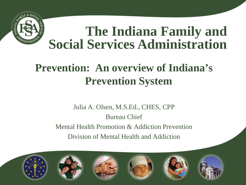

# **Prevention: An overview of Indiana's Prevention System**

Julia A. Olsen, M.S.Ed., CHES, CPP Bureau Chief Mental Health Promotion & Addiction Prevention Division of Mental Health and Addiction

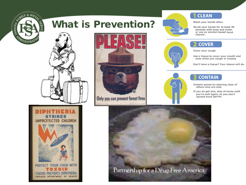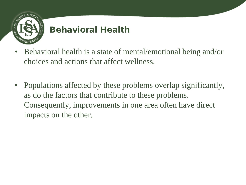

## Behavioral Health

- Behavioral health is a state of mental/emotional being and/or choices and actions that affect wellness.
- Populations affected by these problems overlap significantly, as do the factors that contribute to these problems. Consequently, improvements in one area often have direct impacts on the other.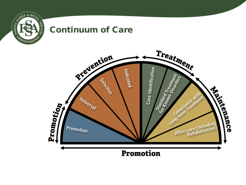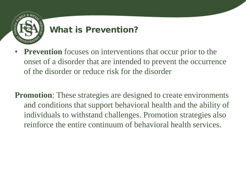

## What is Prevention?

- **Prevention** focuses on interventions that occur prior to the onset of a disorder that are intended to prevent the occurrence of the disorder or reduce risk for the disorder
- **Promotion**: These strategies are designed to create environments and conditions that support behavioral health and the ability of individuals to withstand challenges. Promotion strategies also reinforce the entire continuum of behavioral health services.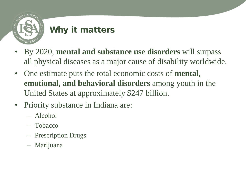

### Why it matters

- By 2020, **mental and substance use disorders** will surpass all physical diseases as a major cause of disability worldwide.
- One estimate puts the total economic costs of **mental, emotional, and behavioral disorders** among youth in the United States at approximately \$247 billion.
- Priority substance in Indiana are:
	- Alcohol
	- Tobacco
	- Prescription Drugs
	- Marijuana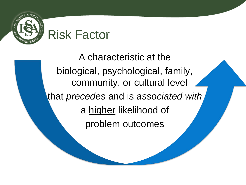

A characteristic at the biological, psychological, family, community, or cultural level that *precedes* and is *associated with* a higher likelihood of problem outcomes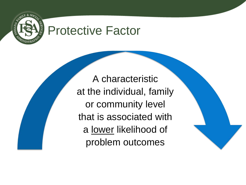

# Protective Factor

A characteristic at the individual, family or community level that is associated with a lower likelihood of problem outcomes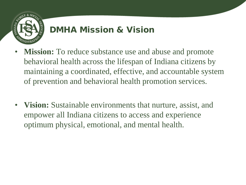

## DMHA Mission & Vision

- **Mission:** To reduce substance use and abuse and promote behavioral health across the lifespan of Indiana citizens by maintaining a coordinated, effective, and accountable system of prevention and behavioral health promotion services.
- **Vision:** Sustainable environments that nurture, assist, and empower all Indiana citizens to access and experience optimum physical, emotional, and mental health.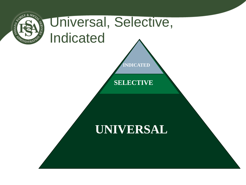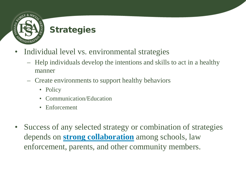

- Individual level vs. environmental strategies
	- Help individuals develop the intentions and skills to act in a healthy manner
	- Create environments to support healthy behaviors
		- Policy
		- Communication/Education
		- Enforcement
- Success of any selected strategy or combination of strategies depends on **[strong collaboration](http://captus.samhsa.gov/prevention-practice/prevention-approaches/strong-collaboration)** among schools, law enforcement, parents, and other community members.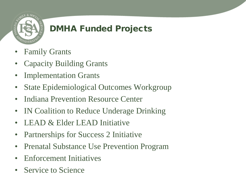

# DMHA Funded Projects

- **Family Grants**
- Capacity Building Grants
- **Implementation Grants**
- State Epidemiological Outcomes Workgroup
- Indiana Prevention Resource Center
- IN Coalition to Reduce Underage Drinking
- LEAD & Elder LEAD Initiative
- Partnerships for Success 2 Initiative
- Prenatal Substance Use Prevention Program
- Enforcement Initiatives
- Service to Science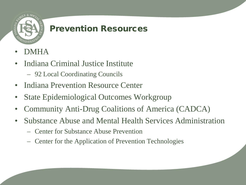

### Prevention Resources

- DMHA
- Indiana Criminal Justice Institute
	- 92 Local Coordinating Councils
- Indiana Prevention Resource Center
- State Epidemiological Outcomes Workgroup
- Community Anti-Drug Coalitions of America (CADCA)
- Substance Abuse and Mental Health Services Administration
	- Center for Substance Abuse Prevention
	- Center for the Application of Prevention Technologies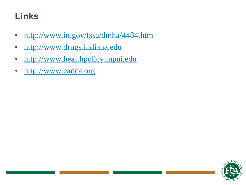#### Links

- <http://www.in.gov/fssa/dmha/4484.htm>
- [http://www.drugs.indiana.edu](http://www.drugs.indiana.edu/)
- [http://www.healthpolicy.iupui.edu](http://www.healthpolicy.iupui.edu/)
- [http://www.cadca.org](http://www.cadca.org/)